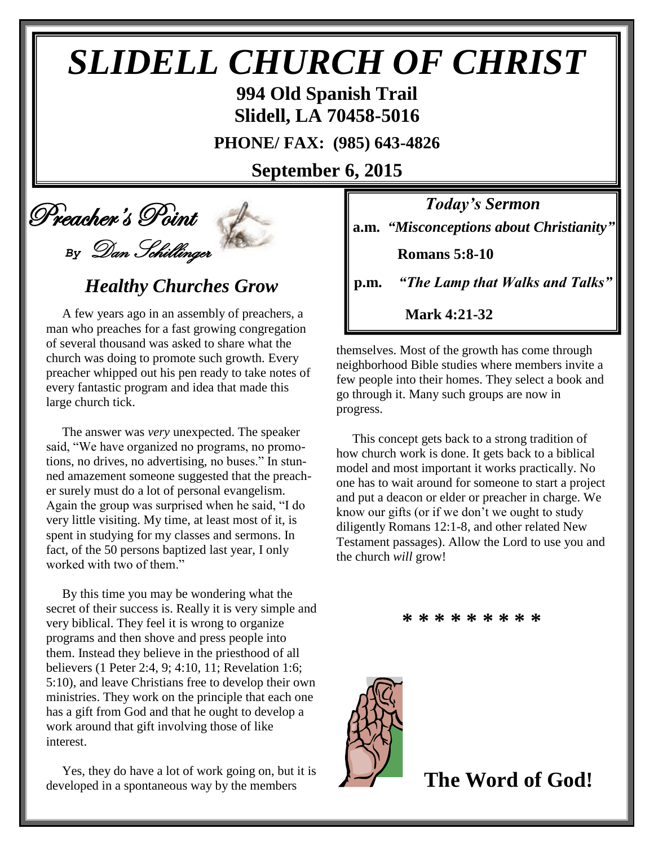# *SLIDELL CHURCH OF CHRIST*

**994 Old Spanish Trail Slidell, LA 70458-5016**

**PHONE/ FAX: (985) 643-4826**

**September 6, 2015**

## Preacher's Point *By* Dan Schillinger

## *Healthy Churches Grow*

 A few years ago in an assembly of preachers, a man who preaches for a fast growing congregation of several thousand was asked to share what the church was doing to promote such growth. Every preacher whipped out his pen ready to take notes of every fantastic program and idea that made this large church tick.

 The answer was *very* unexpected. The speaker said, "We have organized no programs, no promotions, no drives, no advertising, no buses." In stunned amazement someone suggested that the preacher surely must do a lot of personal evangelism. Again the group was surprised when he said, "I do very little visiting. My time, at least most of it, is spent in studying for my classes and sermons. In fact, of the 50 persons baptized last year, I only worked with two of them."

 By this time you may be wondering what the secret of their success is. Really it is very simple and very biblical. They feel it is wrong to organize programs and then shove and press people into them. Instead they believe in the priesthood of all believers (1 Peter 2:4, 9; 4:10, 11; Revelation 1:6; 5:10), and leave Christians free to develop their own ministries. They work on the principle that each one has a gift from God and that he ought to develop a work around that gift involving those of like interest.

 Yes, they do have a lot of work going on, but it is developed in a spontaneous way by the members

*Today's Sermon* **a.m.** *"Misconceptions about Christianity"*

 **Romans 5:8-10**

**p.m.** *"The Lamp that Walks and Talks"*

 **Mark 4:21-32**

themselves. Most of the growth has come through neighborhood Bible studies where members invite a few people into their homes. They select a book and go through it. Many such groups are now in progress.

 This concept gets back to a strong tradition of how church work is done. It gets back to a biblical model and most important it works practically. No one has to wait around for someone to start a project and put a deacon or elder or preacher in charge. We know our gifts (or if we don't we ought to study diligently Romans 12:1-8, and other related New Testament passages). Allow the Lord to use you and the church *will* grow!

**\* \* \* \* \* \* \* \* \***



 **The Word of God!**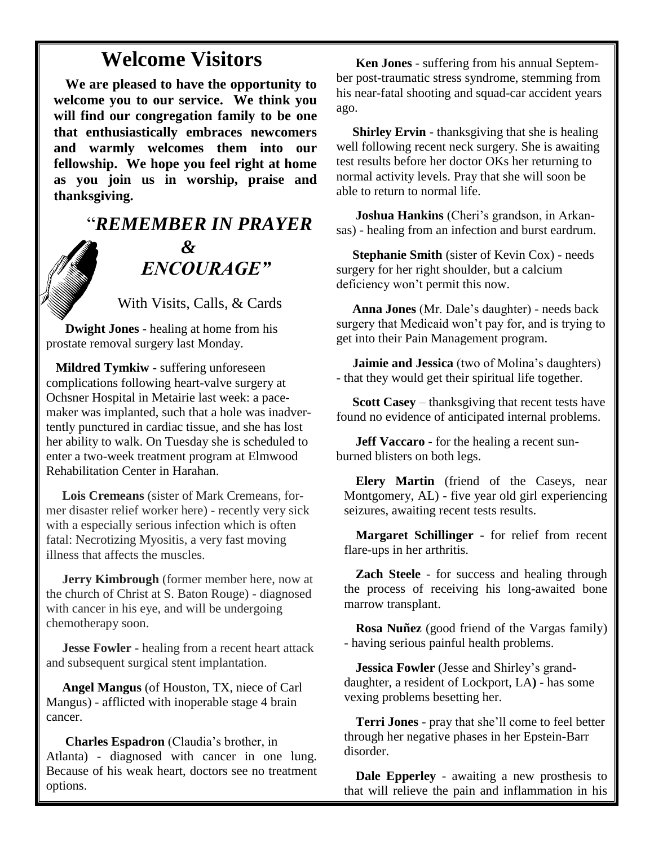## **Welcome Visitors**

**We are pleased to have the opportunity to welcome you to our service. We think you will find our congregation family to be one that enthusiastically embraces newcomers and warmly welcomes them into our fellowship. We hope you feel right at home as you join us in worship, praise and thanksgiving.**

## "*REMEMBER IN PRAYER &* " *ENCOURAGE"*

With Visits, Calls, & Cards

 **Dwight Jones** - healing at home from his prostate removal surgery last Monday.

 **Mildred Tymkiw -** suffering unforeseen complications following heart-valve surgery at Ochsner Hospital in Metairie last week: a pacemaker was implanted, such that a hole was inadvertently punctured in cardiac tissue, and she has lost her ability to walk. On Tuesday she is scheduled to enter a two-week treatment program at Elmwood Rehabilitation Center in Harahan.

 **Lois Cremeans** (sister of Mark Cremeans, former disaster relief worker here) - recently very sick with a especially serious infection which is often fatal: Necrotizing Myositis, a very fast moving illness that affects the muscles.

 **Jerry Kimbrough** (former member here, now at the church of Christ at S. Baton Rouge) - diagnosed with cancer in his eye, and will be undergoing chemotherapy soon.

 **Jesse Fowler -** healing from a recent heart attack and subsequent surgical stent implantation.

 **Angel Mangus** (of Houston, TX, niece of Carl Mangus) - afflicted with inoperable stage 4 brain cancer.

**Charles Espadron** (Claudia's brother, in Atlanta) - diagnosed with cancer in one lung. Because of his weak heart, doctors see no treatment options.

 **Ken Jones** - suffering from his annual September post-traumatic stress syndrome, stemming from his near-fatal shooting and squad-car accident years ago.

**Shirley Ervin** - thanksgiving that she is healing well following recent neck surgery. She is awaiting test results before her doctor OKs her returning to normal activity levels. Pray that she will soon be able to return to normal life.

 **Joshua Hankins** (Cheri's grandson, in Arkansas) - healing from an infection and burst eardrum.

 **Stephanie Smith** (sister of Kevin Cox) - needs surgery for her right shoulder, but a calcium deficiency won't permit this now.

 **Anna Jones** (Mr. Dale's daughter) - needs back surgery that Medicaid won't pay for, and is trying to get into their Pain Management program.

 **Jaimie and Jessica** (two of Molina's daughters) - that they would get their spiritual life together.

 **Scott Casey** – thanksgiving that recent tests have found no evidence of anticipated internal problems.

 **Jeff Vaccaro** - for the healing a recent sunburned blisters on both legs.

**Elery Martin** (friend of the Caseys, near Montgomery, AL) - five year old girl experiencing seizures, awaiting recent tests results.

**Margaret Schillinger -** for relief from recent flare-ups in her arthritis.

**Zach Steele** - for success and healing through the process of receiving his long-awaited bone marrow transplant.

**Rosa Nuñez** (good friend of the Vargas family) - having serious painful health problems.

**Jessica Fowler** (Jesse and Shirley's granddaughter, a resident of Lockport, LA**)** - has some vexing problems besetting her.

**Terri Jones** - pray that she'll come to feel better through her negative phases in her Epstein-Barr disorder.

**Dale Epperley** - awaiting a new prosthesis to that will relieve the pain and inflammation in his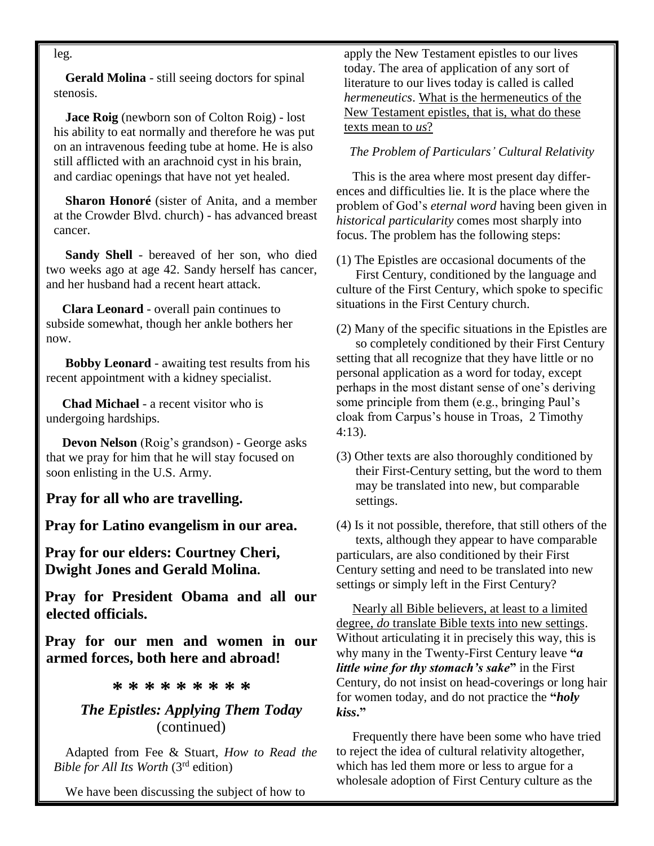leg.

**Gerald Molina** - still seeing doctors for spinal stenosis.

**Jace Roig** (newborn son of Colton Roig) - lost his ability to eat normally and therefore he was put on an intravenous feeding tube at home. He is also still afflicted with an arachnoid cyst in his brain, and cardiac openings that have not yet healed.

**Sharon Honoré** (sister of Anita, and a member at the Crowder Blvd. church) - has advanced breast cancer.

 **Sandy Shell** - bereaved of her son, who died two weeks ago at age 42. Sandy herself has cancer, and her husband had a recent heart attack.

 **Clara Leonard** - overall pain continues to subside somewhat, though her ankle bothers her now.

 **Bobby Leonard** - awaiting test results from his recent appointment with a kidney specialist.

 **Chad Michael** - a recent visitor who is undergoing hardships.

 **Devon Nelson** (Roig's grandson) - George asks that we pray for him that he will stay focused on soon enlisting in the U.S. Army.

**Pray for all who are travelling.**

**Pray for Latino evangelism in our area.**

**Pray for our elders: Courtney Cheri, Dwight Jones and Gerald Molina.**

**Pray for President Obama and all our elected officials.**

**Pray for our men and women in our armed forces, both here and abroad!**

**\* \* \* \* \* \* \* \* \***

#### *The Epistles: Applying Them Today* (continued)

Adapted from Fee & Stuart, *How to Read the Bible for All Its Worth* (3rd edition)

We have been discussing the subject of how to

apply the New Testament epistles to our lives today. The area of application of any sort of literature to our lives today is called is called *hermeneutics*. What is the hermeneutics of the New Testament epistles, that is, what do these texts mean to *us*?

#### *The Problem of Particulars' Cultural Relativity*

 This is the area where most present day differences and difficulties lie. It is the place where the problem of God's *eternal word* having been given in *historical particularity* comes most sharply into focus. The problem has the following steps:

(1) The Epistles are occasional documents of the First Century, conditioned by the language and culture of the First Century, which spoke to specific situations in the First Century church.

(2) Many of the specific situations in the Epistles are so completely conditioned by their First Century setting that all recognize that they have little or no personal application as a word for today, except perhaps in the most distant sense of one's deriving some principle from them (e.g., bringing Paul's cloak from Carpus's house in Troas, 2 Timothy 4:13).

(3) Other texts are also thoroughly conditioned by their First-Century setting, but the word to them may be translated into new, but comparable settings.

(4) Is it not possible, therefore, that still others of the texts, although they appear to have comparable particulars, are also conditioned by their First Century setting and need to be translated into new settings or simply left in the First Century?

 Nearly all Bible believers, at least to a limited degree, *do* translate Bible texts into new settings. Without articulating it in precisely this way, this is why many in the Twenty-First Century leave **"***a little wine for thy stomach's sake***"** in the First Century, do not insist on head-coverings or long hair for women today, and do not practice the **"***holy kiss***."**

 Frequently there have been some who have tried to reject the idea of cultural relativity altogether, which has led them more or less to argue for a wholesale adoption of First Century culture as the